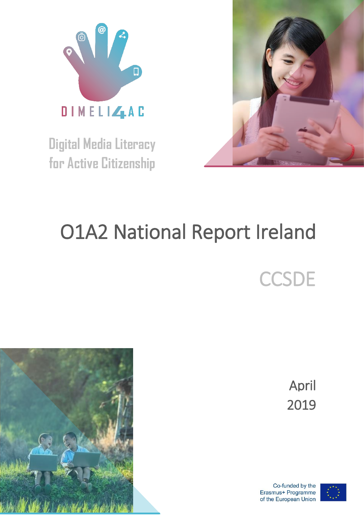

**Digital Media Literacy for Active Citizenship**



# Ο1Α2 National Report Ireland

**CCSDE** 

April 2019

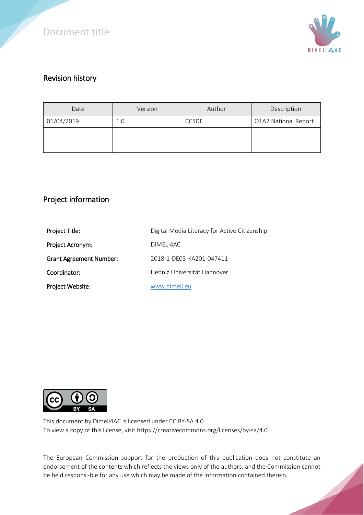



#### Revision history

| Date       | Version | Author       | Description          |
|------------|---------|--------------|----------------------|
| 01/04/2019 | 1.0     | <b>CCSDE</b> | O1A2 National Report |
|            |         |              |                      |
|            |         |              |                      |

### Project information

| Project Title:                 | Digital Media Literacy for Active Citizenship |  |
|--------------------------------|-----------------------------------------------|--|
| Project Acronym:               | DIMELI4AC                                     |  |
| <b>Grant Agreement Number:</b> | 2018-1-DE03-KA201-047411                      |  |
| Coordinator:                   | Liebniz Universität Hannover                  |  |
| Project Website:               | www.dimeli.eu                                 |  |



This document by Dimeli4AC is licensed under CC BY-SA 4.0. To view a copy of this license, visit https://creativecommons.org/licenses/by-sa/4.0

The European Commission support for the production of this publication does not constitute an endorsement of the contents which reflects the views only of the authors, and the Commission cannot be held responsi-ble for any use which may be made of the information contained therein.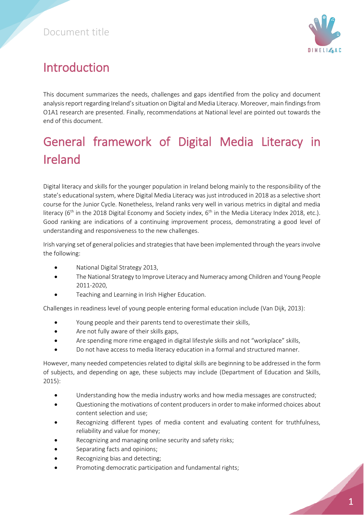

# Introduction

This document summarizes the needs, challenges and gaps identified from the policy and document analysis report regarding Ireland's situation on Digital and Media Literacy. Moreover, main findings from O1A1 research are presented. Finally, recommendations at National level are pointed out towards the end of this document.

# General framework of Digital Media Literacy in Ireland

Digital literacy and skills for the younger population in Ireland belong mainly to the responsibility of the state's educational system, where Digital Media Literacy was just introduced in 2018 as a selective short course for the Junior Cycle. Nonetheless, Ireland ranks very well in various metrics in digital and media literacy ( $6<sup>th</sup>$  in the 2018 Digital Economy and Society index,  $6<sup>th</sup>$  in the Media Literacy Index 2018, etc.). Good ranking are indications of a continuing improvement process, demonstrating a good level of understanding and responsiveness to the new challenges.

Irish varying set of general policies and strategies that have been implemented through the years involve the following:

- National Digital Strategy 2013,
- The National Strategy to Improve Literacy and Numeracy among Children and Young People 2011-2020,
- Teaching and Learning in Irish Higher Education.

Challenges in readiness level of young people entering formal education include (Van Dijk, 2013):

- Young people and their parents tend to overestimate their skills,
- Are not fully aware of their skills gaps,
- Are spending more rime engaged in digital lifestyle skills and not "workplace" skills,
- Do not have access to media literacy education in a formal and structured manner.

However, many needed competencies related to digital skills are beginning to be addressed in the form of subjects, and depending on age, these subjects may include (Department of Education and Skills, 2015):

- Understanding how the media industry works and how media messages are constructed;
- Questioning the motivations of content producers in order to make informed choices about content selection and use;
- Recognizing different types of media content and evaluating content for truthfulness, reliability and value for money;
- Recognizing and managing online security and safety risks;
- Separating facts and opinions;
- Recognizing bias and detecting;
- Promoting democratic participation and fundamental rights;